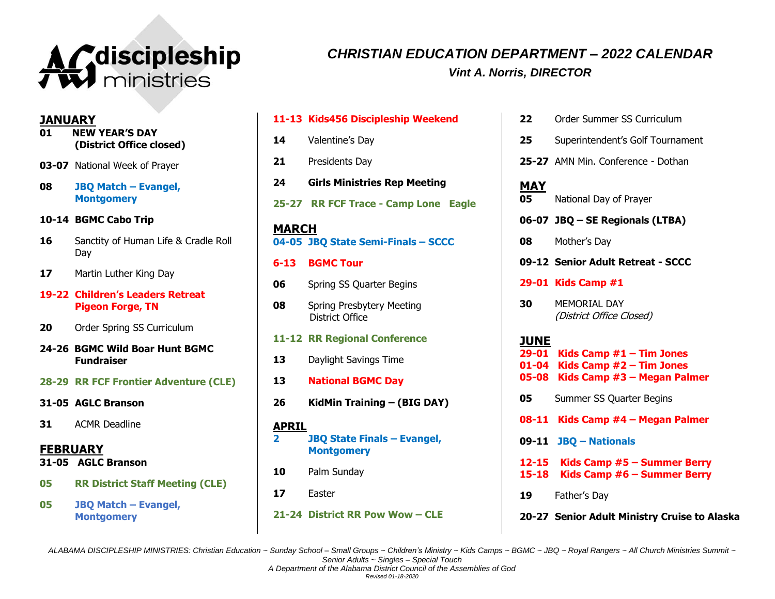

# *CHRISTIAN EDUCATION DEPARTMENT – 2022 CALENDAR Vint A. Norris, DIRECTOR*

**JANUARY**

- **01 NEW YEAR'S DAY (District Office closed)**
- **03-07** National Week of Prayer
- **08 JBQ Match – Evangel, Montgomery**
- **10-14 BGMC Cabo Trip**
- **16** Sanctity of Human Life & Cradle Roll Day
- **17** Martin Luther King Day
- **19-22 Children's Leaders Retreat Pigeon Forge, TN**
- **20** Order Spring SS Curriculum
- **24-26 BGMC Wild Boar Hunt BGMC Fundraiser**
- **28-29 RR FCF Frontier Adventure (CLE)**
- **31-05 AGLC Branson**
- **31** ACMR Deadline

**FEBRUARY**

- **31-05 AGLC Branson**
- **05 RR District Staff Meeting (CLE)**
- **05 JBQ Match – Evangel, Montgomery**
- **11-13 Kids456 Discipleship Weekend 14** Valentine's Day **21** Presidents Day **24 Girls Ministries Rep Meeting 25-27 RR FCF Trace - Camp Lone Eagle MARCH 04-05 JBQ State Semi-Finals – SCCC 6-13 BGMC Tour 06** Spring SS Quarter Begins **08** Spring Presbytery Meeting District Office **11-12 RR Regional Conference 13** Daylight Savings Time **13 National BGMC Day 26 KidMin Training – (BIG DAY) APRIL 2 JBQ State Finals – Evangel, Montgomery**
- **10** Palm Sunday
- **17** Easter
- **21-24 District RR Pow Wow – CLE**
- **22** Order Summer SS Curriculum
- **25** Superintendent's Golf Tournament
- **25-27** AMN Min. Conference Dothan

**MAY 05** National Day of Prayer

- **06-07 JBQ – SE Regionals (LTBA)**
- **08** Mother's Day
- **09-12 Senior Adult Retreat - SCCC**
- **29-01 Kids Camp #1**
- **30** MEMORIAL DAY (District Office Closed)

## **JUNE**

**29-01 Kids Camp #1 – Tim Jones 01-04 Kids Camp #2 – Tim Jones 05-08 Kids Camp #3 – Megan Palmer**

- **05** Summer SS Quarter Begins **08-11 Kids Camp #4 – Megan Palmer 09-11 JBQ – Nationals 12-15 Kids Camp #5 – Summer Berry 15-18 Kids Camp #6 – Summer Berry 19** Father's Day
- **20-27 Senior Adult Ministry Cruise to Alaska**

ALABAMA DISCIPLESHIP MINISTRIES: Christian Education ~ Sunday School - Small Groups ~ Children's Ministry ~ Kids Camps ~ BGMC ~ JBQ ~ Royal Rangers ~ All Church Ministries Summit ~ *Senior Adults ~ Singles – Special Touch*

*Revised 01-18-2020*